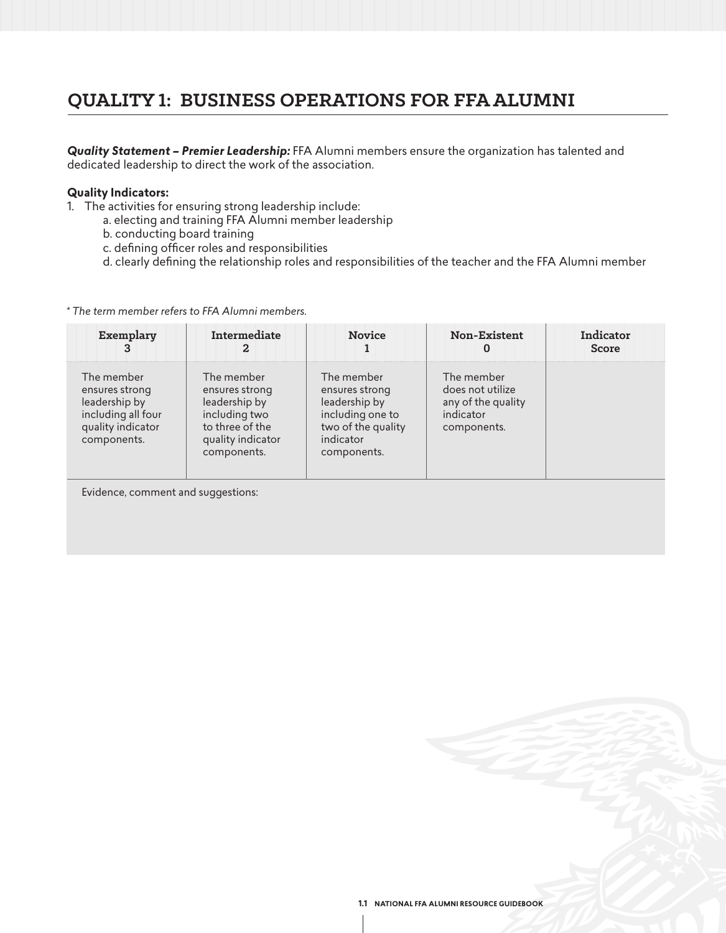# **QUALITY 1: BUSINESS OPERATIONS FOR FFA ALUMNI**

*Quality Statement – Premier Leadership:* FFA Alumni members ensure the organization has talented and dedicated leadership to direct the work of the association.

### **Quality Indicators:**

- 1. The activities for ensuring strong leadership include:
	- a. electing and training FFA Alumni member leadership
	- b. conducting board training
	- c. defining officer roles and responsibilities
	- d. clearly defining the relationship roles and responsibilities of the teacher and the FFA Alumni member

### *\* The term member refers to FFA Alumni members.*

| Exemplary                                                                                               | Intermediate                                                                                                          | <b>Novice</b>                                                                                                       | Non-Existent<br>U                                                                | Indicator<br><b>Score</b> |
|---------------------------------------------------------------------------------------------------------|-----------------------------------------------------------------------------------------------------------------------|---------------------------------------------------------------------------------------------------------------------|----------------------------------------------------------------------------------|---------------------------|
| The member<br>ensures strong<br>leadership by<br>including all four<br>quality indicator<br>components. | The member<br>ensures strong<br>leadership by<br>including two<br>to three of the<br>quality indicator<br>components. | The member<br>ensures strong<br>leadership by<br>including one to<br>two of the quality<br>indicator<br>components. | The member<br>does not utilize<br>any of the quality<br>indicator<br>components. |                           |

Evidence, comment and suggestions: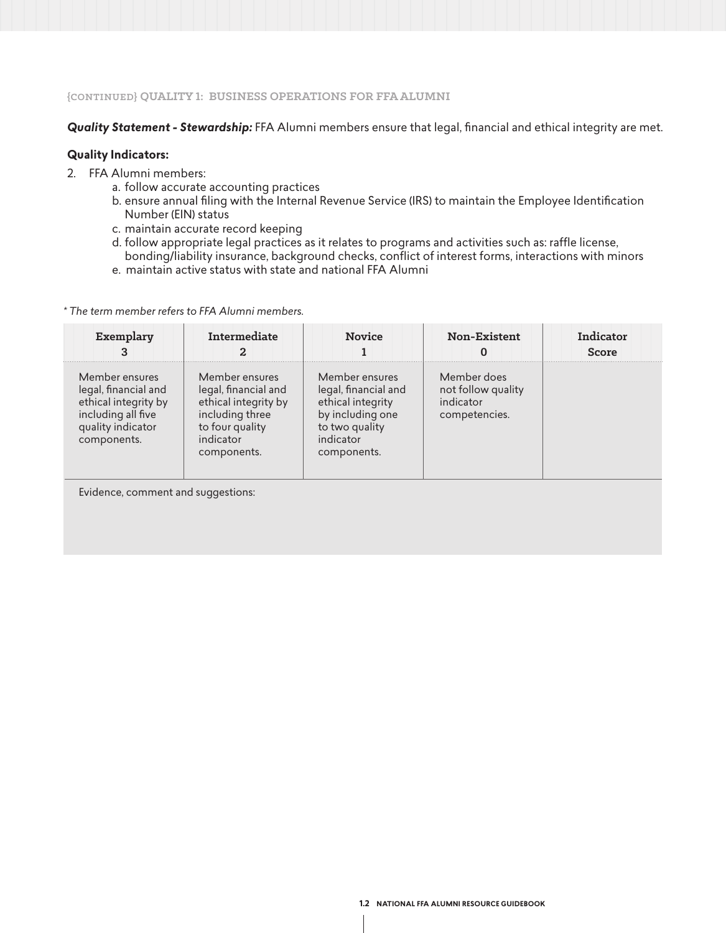### **{CONTINUED} QUALITY 1: BUSINESS OPERATIONS FOR FFA ALUMNI**

### *Quality Statement - Stewardship:* FFA Alumni members ensure that legal, financial and ethical integrity are met.

### **Quality Indicators:**

- 2. FFA Alumni members:
	- a. follow accurate accounting practices
	- b. ensure annual filing with the Internal Revenue Service (IRS) to maintain the Employee Identification Number (EIN) status
	- c. maintain accurate record keeping
	- d. follow appropriate legal practices as it relates to programs and activities such as: raffle license, bonding/liability insurance, background checks, conflict of interest forms, interactions with minors
	- e. maintain active status with state and national FFA Alumni

*\* The term member refers to FFA Alumni members.* 

| Exemplary                                                                                                                | Intermediate                                                                                                                     | <b>Novice</b>                                                                                                                 | Non-Existent                                                    | Indicator<br>Score |
|--------------------------------------------------------------------------------------------------------------------------|----------------------------------------------------------------------------------------------------------------------------------|-------------------------------------------------------------------------------------------------------------------------------|-----------------------------------------------------------------|--------------------|
| Member ensures<br>legal, financial and<br>ethical integrity by<br>including all five<br>quality indicator<br>components. | Member ensures<br>legal, financial and<br>ethical integrity by<br>including three<br>to four quality<br>indicator<br>components. | Member ensures<br>legal, financial and<br>ethical integrity<br>by including one<br>to two quality<br>indicator<br>components. | Member does<br>not follow quality<br>indicator<br>competencies. |                    |

Evidence, comment and suggestions: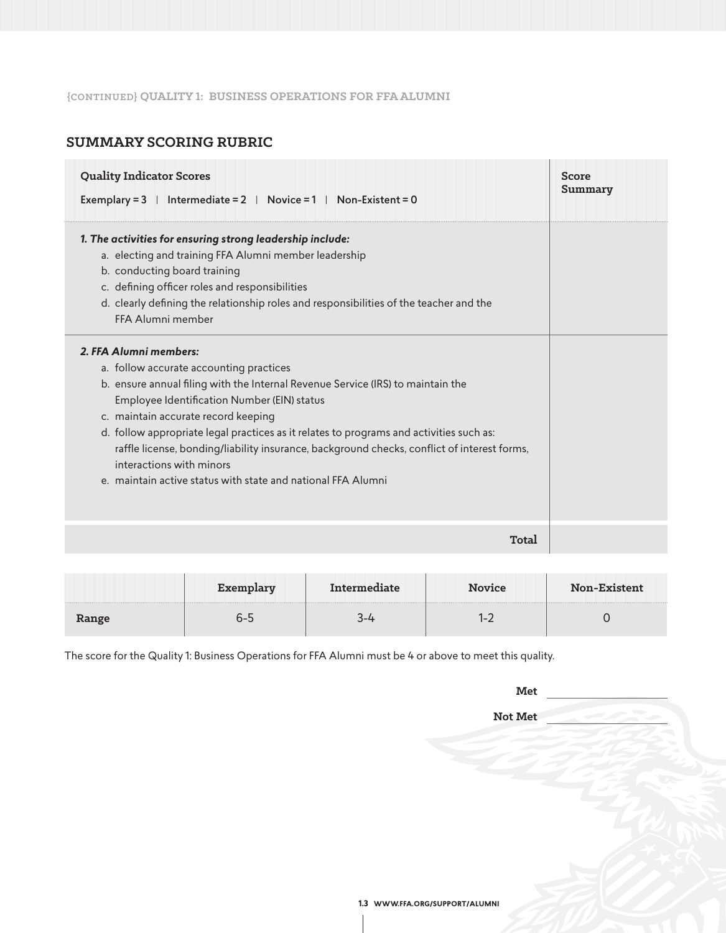## **{CONTINUED} QUALITY 1: BUSINESS OPERATIONS FOR FFA ALUMNI**

# **SUMMARY SCORING RUBRIC**

| <b>Quality Indicator Scores</b><br>Exemplary = $3$   Intermediate = $2$   Novice = $1$   Non-Existent = 0                                                                                                                                                                                                                                                                                                                                                                                                                        | Score<br>Summary |
|----------------------------------------------------------------------------------------------------------------------------------------------------------------------------------------------------------------------------------------------------------------------------------------------------------------------------------------------------------------------------------------------------------------------------------------------------------------------------------------------------------------------------------|------------------|
| 1. The activities for ensuring strong leadership include:<br>a. electing and training FFA Alumni member leadership<br>b. conducting board training<br>c. defining officer roles and responsibilities<br>d. clearly defining the relationship roles and responsibilities of the teacher and the<br>FFA Alumni member                                                                                                                                                                                                              |                  |
| 2. FFA Alumni members:<br>a. follow accurate accounting practices<br>b. ensure annual filing with the Internal Revenue Service (IRS) to maintain the<br>Employee Identification Number (EIN) status<br>c. maintain accurate record keeping<br>d. follow appropriate legal practices as it relates to programs and activities such as:<br>raffle license, bonding/liability insurance, background checks, conflict of interest forms,<br>interactions with minors<br>e. maintain active status with state and national FFA Alumni |                  |
| Total                                                                                                                                                                                                                                                                                                                                                                                                                                                                                                                            |                  |

|       |  | <b>Novice</b> | <b>Non-Existent</b><br>. |
|-------|--|---------------|--------------------------|
| Range |  | . .           |                          |

The score for the Quality 1: Business Operations for FFA Alumni must be 4 or above to meet this quality.

| Met |  |
|-----|--|
|     |  |

**Not Met**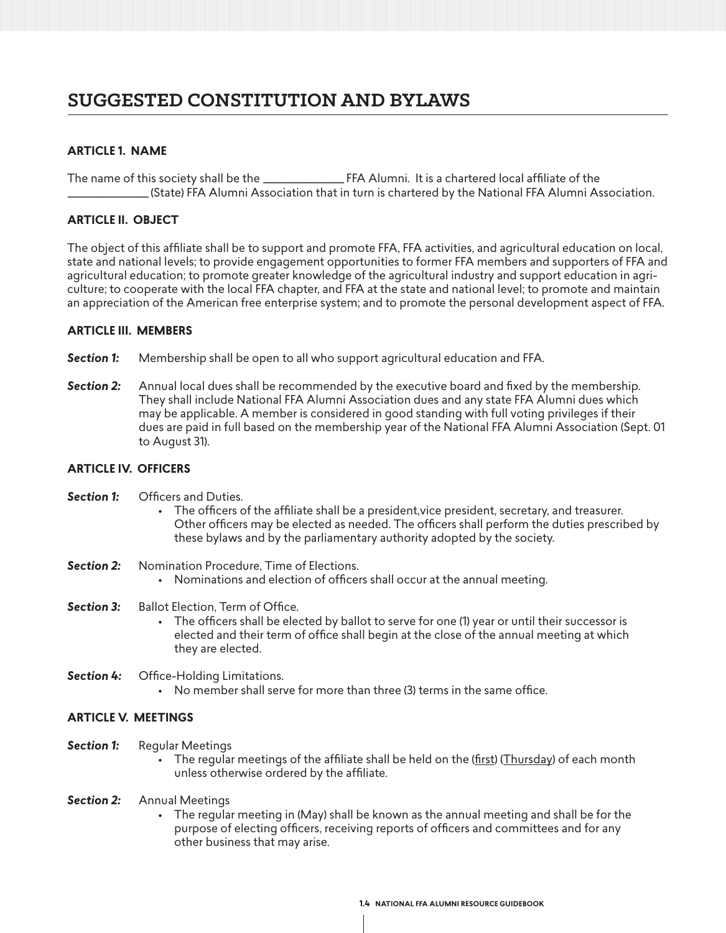# **SUGGESTED CONSTITUTION AND BYLAWS**

## **ARTICLE 1. NAME**

The name of this society shall be the \_\_\_\_\_\_\_\_\_\_\_\_ FFA Alumni. It is a chartered local affiliate of the \_\_\_\_\_\_\_\_\_\_\_\_ (State) FFA Alumni Association that in turn is chartered by the National FFA Alumni Association.

### **ARTICLE II. OBJECT**

The object of this affiliate shall be to support and promote FFA, FFA activities, and agricultural education on local, state and national levels; to provide engagement opportunities to former FFA members and supporters of FFA and agricultural education; to promote greater knowledge of the agricultural industry and support education in agriculture; to cooperate with the local FFA chapter, and FFA at the state and national level; to promote and maintain an appreciation of the American free enterprise system; and to promote the personal development aspect of FFA.

### **ARTICLE III. MEMBERS**

- **Section 1:** Membership shall be open to all who support agricultural education and FFA.
- *Section 2:* Annual local dues shall be recommended by the executive board and fixed by the membership. They shall include National FFA Alumni Association dues and any state FFA Alumni dues which may be applicable. A member is considered in good standing with full voting privileges if their dues are paid in full based on the membership year of the National FFA Alumni Association (Sept. 01 to August 31).

### **ARTICLE IV. OFFICERS**

- **Section 1:** Officers and Duties.
	- The officers of the affiliate shall be a president,vice president, secretary, and treasurer. Other officers may be elected as needed. The officers shall perform the duties prescribed by these bylaws and by the parliamentary authority adopted by the society.
- **Section 2:** Nomination Procedure, Time of Elections.
	- Nominations and election of officers shall occur at the annual meeting.
- **Section 3:** Ballot Election, Term of Office.
	- The officers shall be elected by ballot to serve for one (1) year or until their successor is elected and their term of office shall begin at the close of the annual meeting at which they are elected.
- *Section 4:* Office-Holding Limitations.
	- No member shall serve for more than three (3) terms in the same office.

### **ARTICLE V. MEETINGS**

- **Section 1:** Reqular Meetings
	- The regular meetings of the affiliate shall be held on the (first) (Thursday) of each month unless otherwise ordered by the affiliate.
- *Section 2:* Annual Meetings
	- The regular meeting in (May) shall be known as the annual meeting and shall be for the purpose of electing officers, receiving reports of officers and committees and for any other business that may arise.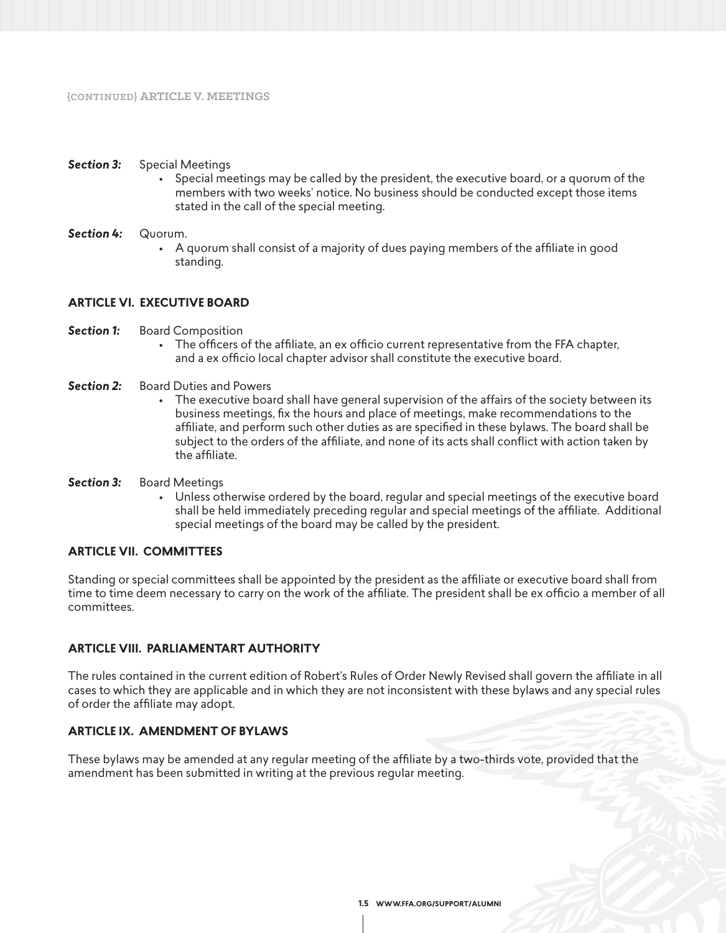### *Section 3:* Special Meetings

• Special meetings may be called by the president, the executive board, or a quorum of the members with two weeks' notice. No business should be conducted except those items stated in the call of the special meeting.

### *Section 4:* Quorum.

• A quorum shall consist of a majority of dues paying members of the affiliate in good standing.

### **ARTICLE VI. EXECUTIVE BOARD**

- **Section 1:** Board Composition
	- The officers of the affiliate, an ex officio current representative from the FFA chapter, and a ex officio local chapter advisor shall constitute the executive board.
- **Section 2:** Board Duties and Powers
	- The executive board shall have general supervision of the affairs of the society between its business meetings, fix the hours and place of meetings, make recommendations to the affiliate, and perform such other duties as are specified in these bylaws. The board shall be subject to the orders of the affiliate, and none of its acts shall conflict with action taken by the affiliate.
- *Section 3:* Board Meetings
	- Unless otherwise ordered by the board, regular and special meetings of the executive board shall be held immediately preceding regular and special meetings of the affiliate. Additional special meetings of the board may be called by the president.

### **ARTICLE VII. COMMITTEES**

Standing or special committees shall be appointed by the president as the affiliate or executive board shall from time to time deem necessary to carry on the work of the affiliate. The president shall be ex officio a member of all committees.

### **ARTICLE VIII. PARLIAMENTART AUTHORITY**

The rules contained in the current edition of Robert's Rules of Order Newly Revised shall govern the affiliate in all cases to which they are applicable and in which they are not inconsistent with these bylaws and any special rules of order the affiliate may adopt.

### **ARTICLE IX. AMENDMENT OF BYLAWS**

These bylaws may be amended at any regular meeting of the affiliate by a two-thirds vote, provided that the amendment has been submitted in writing at the previous regular meeting.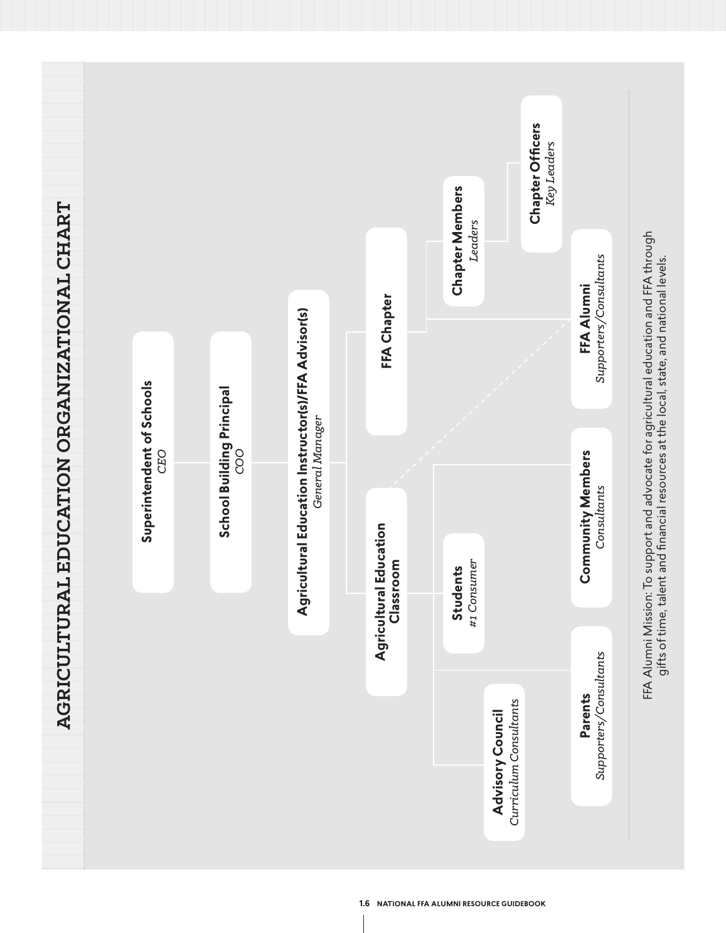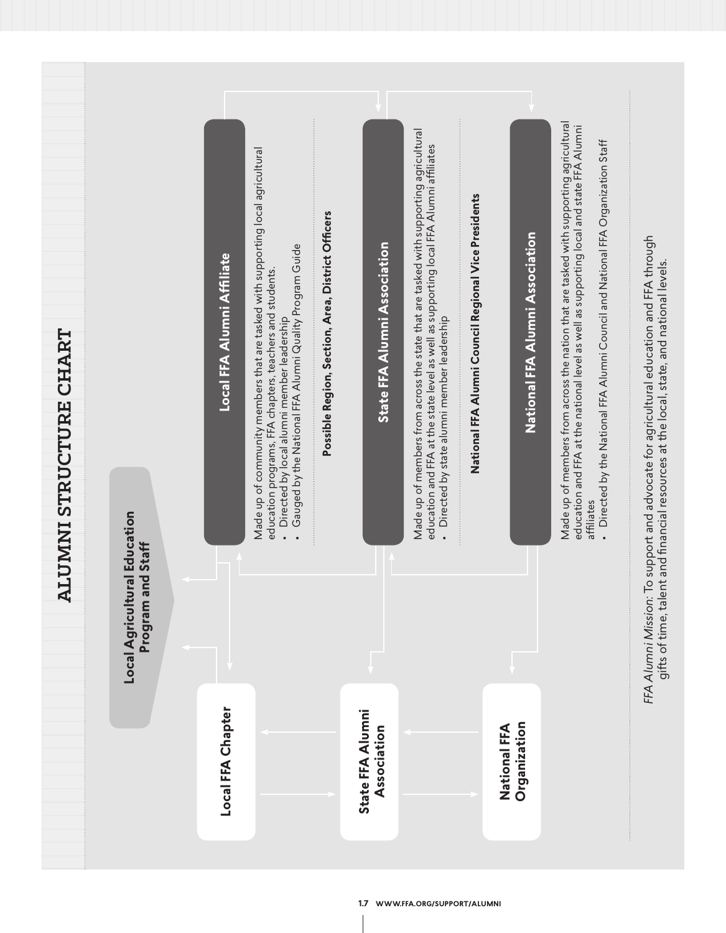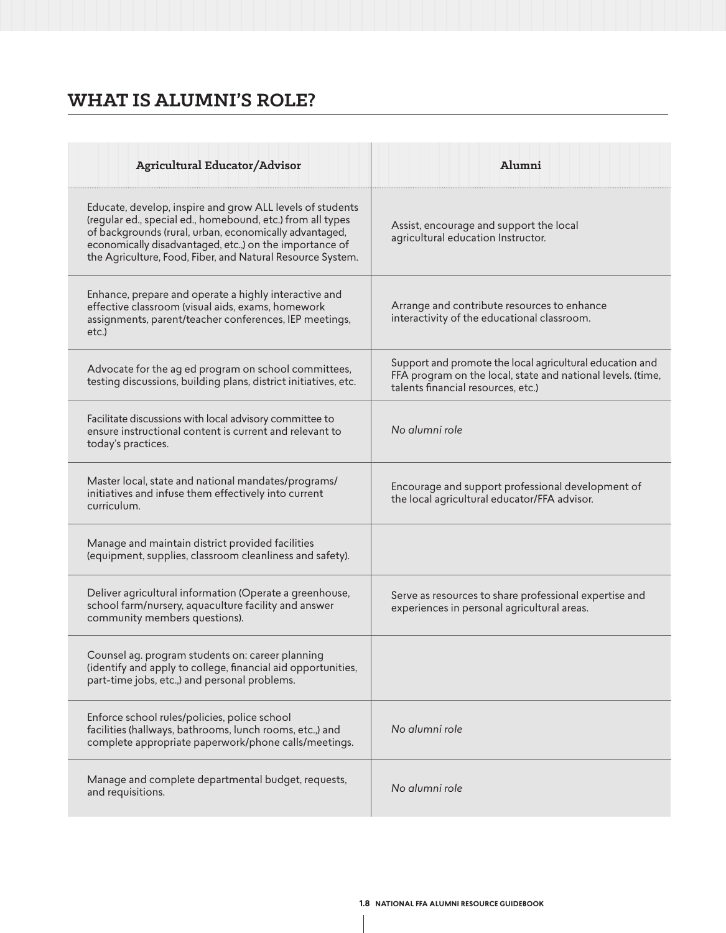# **WHAT IS ALUMNI'S ROLE?**

| <b>Agricultural Educator/Advisor</b>                                                                                                                                                                                                                                                                       | Alumni                                                                                                                                                        |
|------------------------------------------------------------------------------------------------------------------------------------------------------------------------------------------------------------------------------------------------------------------------------------------------------------|---------------------------------------------------------------------------------------------------------------------------------------------------------------|
| Educate, develop, inspire and grow ALL levels of students<br>(regular ed., special ed., homebound, etc.) from all types<br>of backgrounds (rural, urban, economically advantaged,<br>economically disadvantaged, etc.,) on the importance of<br>the Agriculture, Food, Fiber, and Natural Resource System. | Assist, encourage and support the local<br>agricultural education Instructor.                                                                                 |
| Enhance, prepare and operate a highly interactive and<br>effective classroom (visual aids, exams, homework<br>assignments, parent/teacher conferences, IEP meetings,<br>etc.)                                                                                                                              | Arrange and contribute resources to enhance<br>interactivity of the educational classroom.                                                                    |
| Advocate for the ag ed program on school committees,<br>testing discussions, building plans, district initiatives, etc.                                                                                                                                                                                    | Support and promote the local agricultural education and<br>FFA program on the local, state and national levels. (time,<br>talents financial resources, etc.) |
| Facilitate discussions with local advisory committee to<br>ensure instructional content is current and relevant to<br>today's practices.                                                                                                                                                                   | No alumni role                                                                                                                                                |
| Master local, state and national mandates/programs/<br>initiatives and infuse them effectively into current<br>curriculum.                                                                                                                                                                                 | Encourage and support professional development of<br>the local agricultural educator/FFA advisor.                                                             |
| Manage and maintain district provided facilities<br>(equipment, supplies, classroom cleanliness and safety).                                                                                                                                                                                               |                                                                                                                                                               |
| Deliver agricultural information (Operate a greenhouse,<br>school farm/nursery, aquaculture facility and answer<br>community members questions).                                                                                                                                                           | Serve as resources to share professional expertise and<br>experiences in personal agricultural areas.                                                         |
| Counsel ag. program students on: career planning<br>(identify and apply to college, financial aid opportunities,<br>part-time jobs, etc.,) and personal problems.                                                                                                                                          |                                                                                                                                                               |
| Enforce school rules/policies, police school<br>facilities (hallways, bathrooms, lunch rooms, etc.,) and<br>complete appropriate paperwork/phone calls/meetings.                                                                                                                                           | No alumni role                                                                                                                                                |
| Manage and complete departmental budget, requests,<br>and requisitions.                                                                                                                                                                                                                                    | No alumni role                                                                                                                                                |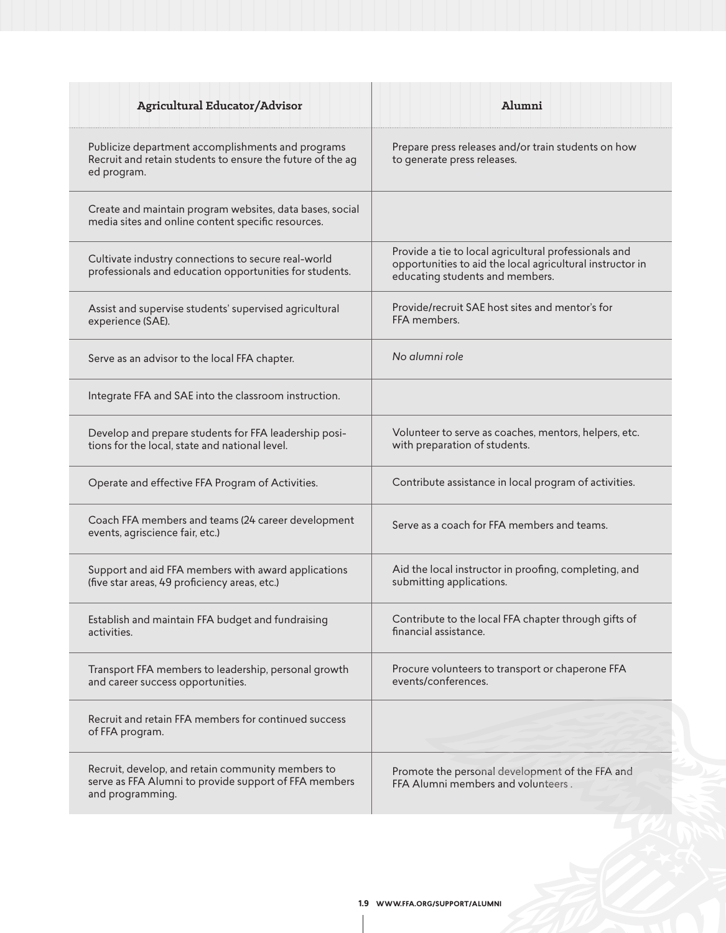| <b>Agricultural Educator/Advisor</b>                                                                                           | Alumni                                                                                                                                                |
|--------------------------------------------------------------------------------------------------------------------------------|-------------------------------------------------------------------------------------------------------------------------------------------------------|
| Publicize department accomplishments and programs<br>Recruit and retain students to ensure the future of the ag<br>ed program. | Prepare press releases and/or train students on how<br>to generate press releases.                                                                    |
| Create and maintain program websites, data bases, social<br>media sites and online content specific resources.                 |                                                                                                                                                       |
| Cultivate industry connections to secure real-world<br>professionals and education opportunities for students.                 | Provide a tie to local agricultural professionals and<br>opportunities to aid the local agricultural instructor in<br>educating students and members. |
| Assist and supervise students' supervised agricultural<br>experience (SAE).                                                    | Provide/recruit SAE host sites and mentor's for<br>FFA members.                                                                                       |
| Serve as an advisor to the local FFA chapter.                                                                                  | No alumni role                                                                                                                                        |
| Integrate FFA and SAE into the classroom instruction.                                                                          |                                                                                                                                                       |
| Develop and prepare students for FFA leadership posi-<br>tions for the local, state and national level.                        | Volunteer to serve as coaches, mentors, helpers, etc.<br>with preparation of students.                                                                |
| Operate and effective FFA Program of Activities.                                                                               | Contribute assistance in local program of activities.                                                                                                 |
| Coach FFA members and teams (24 career development<br>events, agriscience fair, etc.)                                          | Serve as a coach for FFA members and teams.                                                                                                           |
| Support and aid FFA members with award applications<br>(five star areas, 49 proficiency areas, etc.)                           | Aid the local instructor in proofing, completing, and<br>submitting applications.                                                                     |
| Establish and maintain FFA budget and fundraising<br>activities.                                                               | Contribute to the local FFA chapter through gifts of<br>financial assistance.                                                                         |
| Transport FFA members to leadership, personal growth<br>and career success opportunities.                                      | Procure volunteers to transport or chaperone FFA<br>events/conferences.                                                                               |
| Recruit and retain FFA members for continued success<br>of FFA program.                                                        |                                                                                                                                                       |
| Recruit, develop, and retain community members to<br>serve as FFA Alumni to provide support of FFA members<br>and programming. | Promote the personal development of the FFA and<br>FFA Alumni members and volunteers.                                                                 |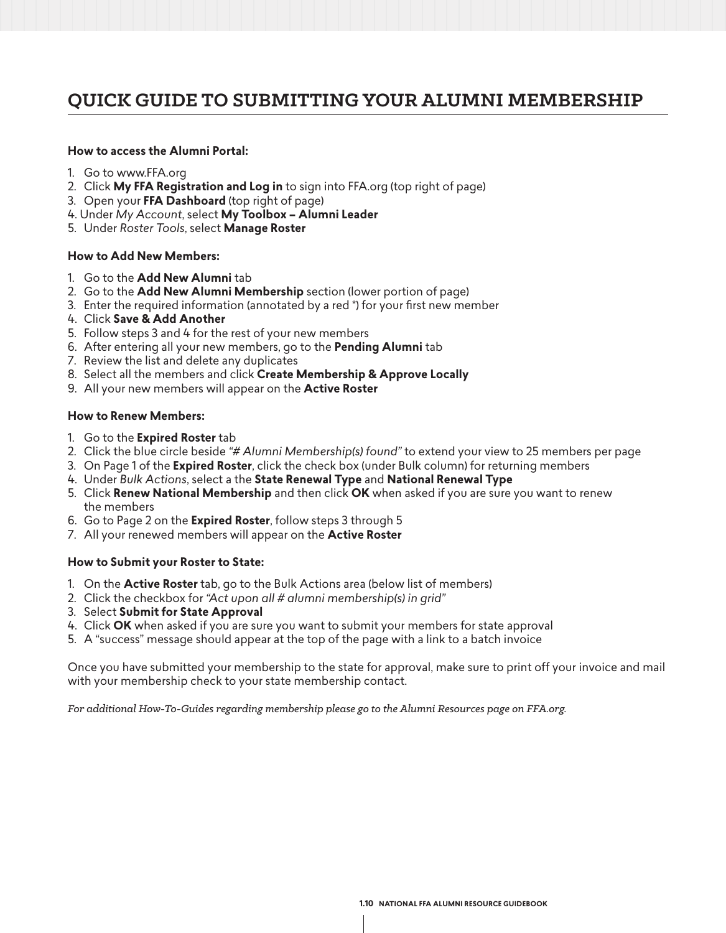# **QUICK GUIDE TO SUBMITTING YOUR ALUMNI MEMBERSHIP**

### **How to access the Alumni Portal:**

- 1. Go to www.FFA.org
- 2. Click **My FFA Registration and Log in** to sign into FFA.org (top right of page)
- 3. Open your **FFA Dashboard** (top right of page)
- 4. Under *My Account*, select **My Toolbox Alumni Leader**
- 5. Under *Roster Tools*, select **Manage Roster**

### **How to Add New Members:**

- 1. Go to the **Add New Alumni** tab
- 2. Go to the **Add New Alumni Membership** section (lower portion of page)
- 3. Enter the required information (annotated by a red \*) for your first new member
- 4. Click **Save & Add Another**
- 5. Follow steps 3 and 4 for the rest of your new members
- 6. After entering all your new members, go to the **Pending Alumni** tab
- 7. Review the list and delete any duplicates
- 8. Select all the members and click **Create Membership & Approve Locally**
- 9. All your new members will appear on the **Active Roster**

### **How to Renew Members:**

- 1. Go to the **Expired Roster** tab
- 2. Click the blue circle beside *"# Alumni Membership(s) found"* to extend your view to 25 members per page
- 3. On Page 1 of the **Expired Roster**, click the check box (under Bulk column) for returning members
- 4. Under *Bulk Actions*, select a the **State Renewal Type** and **National Renewal Type**
- 5. Click **Renew National Membership** and then click **OK** when asked if you are sure you want to renew the members
- 6. Go to Page 2 on the **Expired Roster**, follow steps 3 through 5
- 7. All your renewed members will appear on the **Active Roster**

### **How to Submit your Roster to State:**

- 1. On the **Active Roster** tab, go to the Bulk Actions area (below list of members)
- 2. Click the checkbox for *"Act upon all # alumni membership(s) in grid"*
- 3. Select **Submit for State Approval**
- 4. Click **OK** when asked if you are sure you want to submit your members for state approval
- 5. A "success" message should appear at the top of the page with a link to a batch invoice

Once you have submitted your membership to the state for approval, make sure to print off your invoice and mail with your membership check to your state membership contact.

*For additional How-To-Guides regarding membership please go to the Alumni Resources page on FFA.org.*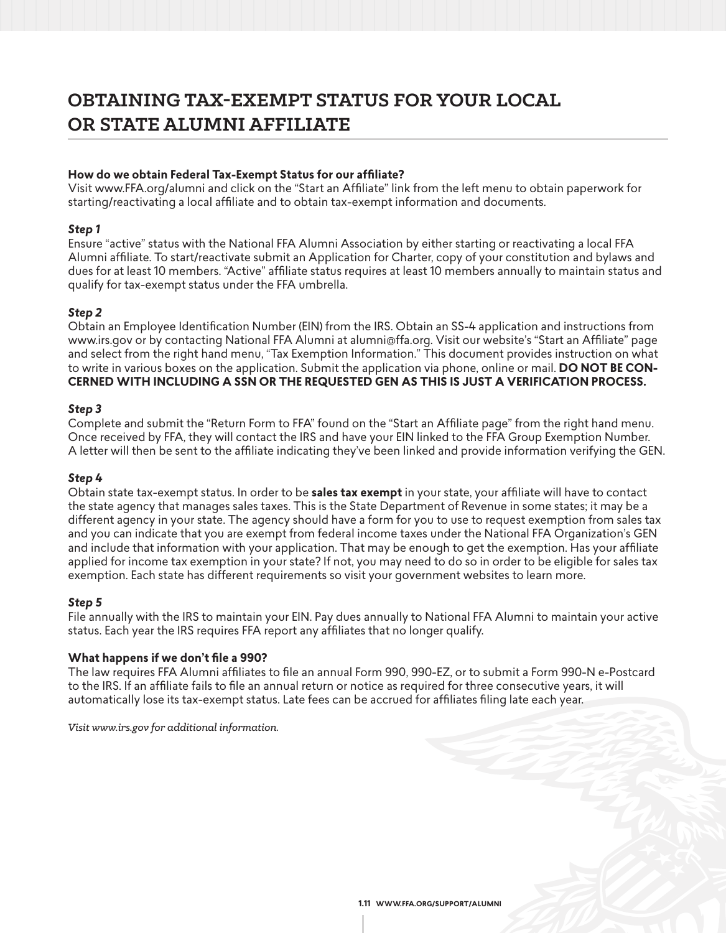# **OBTAINING TAX-EXEMPT STATUS FOR YOUR LOCAL OR STATE ALUMNI AFFILIATE**

### **How do we obtain Federal Tax-Exempt Status for our affiliate?**

Visit www.FFA.org/alumni and click on the "Start an Affiliate" link from the left menu to obtain paperwork for starting/reactivating a local affiliate and to obtain tax-exempt information and documents.

### *Step 1*

Ensure "active" status with the National FFA Alumni Association by either starting or reactivating a local FFA Alumni affiliate. To start/reactivate submit an Application for Charter, copy of your constitution and bylaws and dues for at least 10 members. "Active" affiliate status requires at least 10 members annually to maintain status and qualify for tax-exempt status under the FFA umbrella.

## *Step 2*

Obtain an Employee Identification Number (EIN) from the IRS. Obtain an SS-4 application and instructions from www.irs.gov or by contacting National FFA Alumni at alumni@ffa.org. Visit our website's "Start an Affiliate" page and select from the right hand menu, "Tax Exemption Information." This document provides instruction on what to write in various boxes on the application. Submit the application via phone, online or mail. **DO NOT BE CON-CERNED WITH INCLUDING A SSN OR THE REQUESTED GEN AS THIS IS JUST A VERIFICATION PROCESS.** 

### *Step 3*

Complete and submit the "Return Form to FFA" found on the "Start an Affiliate page" from the right hand menu. Once received by FFA, they will contact the IRS and have your EIN linked to the FFA Group Exemption Number. A letter will then be sent to the affiliate indicating they've been linked and provide information verifying the GEN.

### *Step 4*

Obtain state tax-exempt status. In order to be **sales tax exempt** in your state, your affiliate will have to contact the state agency that manages sales taxes. This is the State Department of Revenue in some states; it may be a different agency in your state. The agency should have a form for you to use to request exemption from sales tax and you can indicate that you are exempt from federal income taxes under the National FFA Organization's GEN and include that information with your application. That may be enough to get the exemption. Has your affiliate applied for income tax exemption in your state? If not, you may need to do so in order to be eligible for sales tax exemption. Each state has different requirements so visit your government websites to learn more.

### *Step 5*

File annually with the IRS to maintain your EIN. Pay dues annually to National FFA Alumni to maintain your active status. Each year the IRS requires FFA report any affiliates that no longer qualify.

### **What happens if we don't file a 990?**

The law requires FFA Alumni affiliates to file an annual Form 990, 990-EZ, or to submit a Form 990-N e-Postcard to the IRS. If an affiliate fails to file an annual return or notice as required for three consecutive years, it will automatically lose its tax-exempt status. Late fees can be accrued for affiliates filing late each year.

*Visit www.irs.gov for additional information.*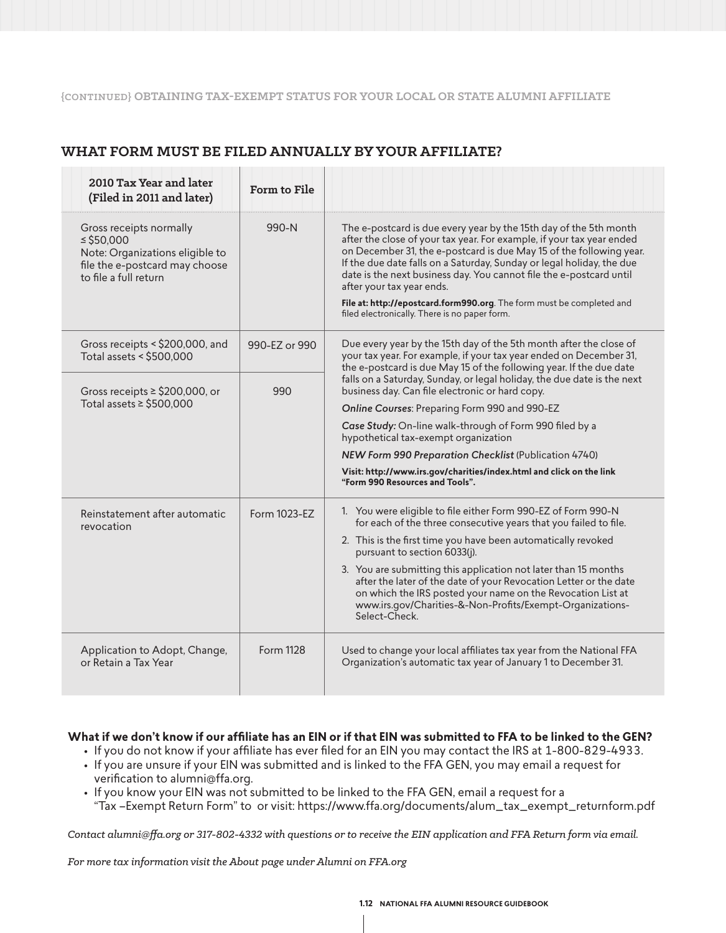#### **{CONTINUED} OBTAINING TAX-EXEMPT STATUS FOR YOUR LOCAL OR STATE ALUMNI AFFILIATE**

# **WHAT FORM MUST BE FILED ANNUALLY BY YOUR AFFILIATE?**

| 2010 Tax Year and later<br>(Filed in 2011 and later)                                                                                    | Form to File  |                                                                                                                                                                                                                                                                                                                                                                                                                                                                                                                          |  |
|-----------------------------------------------------------------------------------------------------------------------------------------|---------------|--------------------------------------------------------------------------------------------------------------------------------------------------------------------------------------------------------------------------------------------------------------------------------------------------------------------------------------------------------------------------------------------------------------------------------------------------------------------------------------------------------------------------|--|
| Gross receipts normally<br>$\le$ \$50,000<br>Note: Organizations eligible to<br>file the e-postcard may choose<br>to file a full return | $990-N$       | The e-postcard is due every year by the 15th day of the 5th month<br>after the close of your tax year. For example, if your tax year ended<br>on December 31, the e-postcard is due May 15 of the following year.<br>If the due date falls on a Saturday, Sunday or legal holiday, the due<br>date is the next business day. You cannot file the e-postcard until<br>after your tax year ends.<br>File at: http://epostcard.form990.org. The form must be completed and<br>filed electronically. There is no paper form. |  |
| Gross receipts $\le$ \$200,000, and<br>Total assets < \$500,000                                                                         | 990-EZ or 990 | Due every year by the 15th day of the 5th month after the close of<br>your tax year. For example, if your tax year ended on December 31,<br>the e-postcard is due May 15 of the following year. If the due date                                                                                                                                                                                                                                                                                                          |  |
| Gross receipts $\ge$ \$200,000, or<br>Total assets $\ge$ \$500,000                                                                      | 990           | falls on a Saturday, Sunday, or legal holiday, the due date is the next<br>business day. Can file electronic or hard copy.                                                                                                                                                                                                                                                                                                                                                                                               |  |
|                                                                                                                                         |               | Online Courses: Preparing Form 990 and 990-EZ                                                                                                                                                                                                                                                                                                                                                                                                                                                                            |  |
|                                                                                                                                         |               | Case Study: On-line walk-through of Form 990 filed by a<br>hypothetical tax-exempt organization                                                                                                                                                                                                                                                                                                                                                                                                                          |  |
|                                                                                                                                         |               | NEW Form 990 Preparation Checklist (Publication 4740)                                                                                                                                                                                                                                                                                                                                                                                                                                                                    |  |
|                                                                                                                                         |               | Visit: http://www.irs.gov/charities/index.html and click on the link<br>"Form 990 Resources and Tools".                                                                                                                                                                                                                                                                                                                                                                                                                  |  |
| Reinstatement after automatic<br>revocation                                                                                             | Form 1023-FZ  | 1. You were eligible to file either Form 990-EZ of Form 990-N<br>for each of the three consecutive years that you failed to file.                                                                                                                                                                                                                                                                                                                                                                                        |  |
|                                                                                                                                         |               | 2. This is the first time you have been automatically revoked<br>pursuant to section 6033(j).                                                                                                                                                                                                                                                                                                                                                                                                                            |  |
|                                                                                                                                         |               | 3. You are submitting this application not later than 15 months<br>after the later of the date of your Revocation Letter or the date<br>on which the IRS posted your name on the Revocation List at<br>www.irs.gov/Charities-&-Non-Profits/Exempt-Organizations-<br>Select-Check.                                                                                                                                                                                                                                        |  |
| Application to Adopt, Change,<br>or Retain a Tax Year                                                                                   | Form 1128     | Used to change your local affiliates tax year from the National FFA<br>Organization's automatic tax year of January 1 to December 31.                                                                                                                                                                                                                                                                                                                                                                                    |  |

### **What if we don't know if our affiliate has an EIN or if that EIN was submitted to FFA to be linked to the GEN?**

- If you do not know if your affiliate has ever filed for an EIN you may contact the IRS at 1-800-829-4933. • If you are unsure if your EIN was submitted and is linked to the FFA GEN, you may email a request for verification to alumni@ffa.org.
- If you know your EIN was not submitted to be linked to the FFA GEN, email a request for a "Tax –Exempt Return Form" to or visit: https://www.ffa.org/documents/alum\_tax\_exempt\_returnform.pdf

*Contact alumni@ffa.org or 317-802-4332 with questions or to receive the EIN application and FFA Return form via email.*

*For more tax information visit the About page under Alumni on FFA.org*